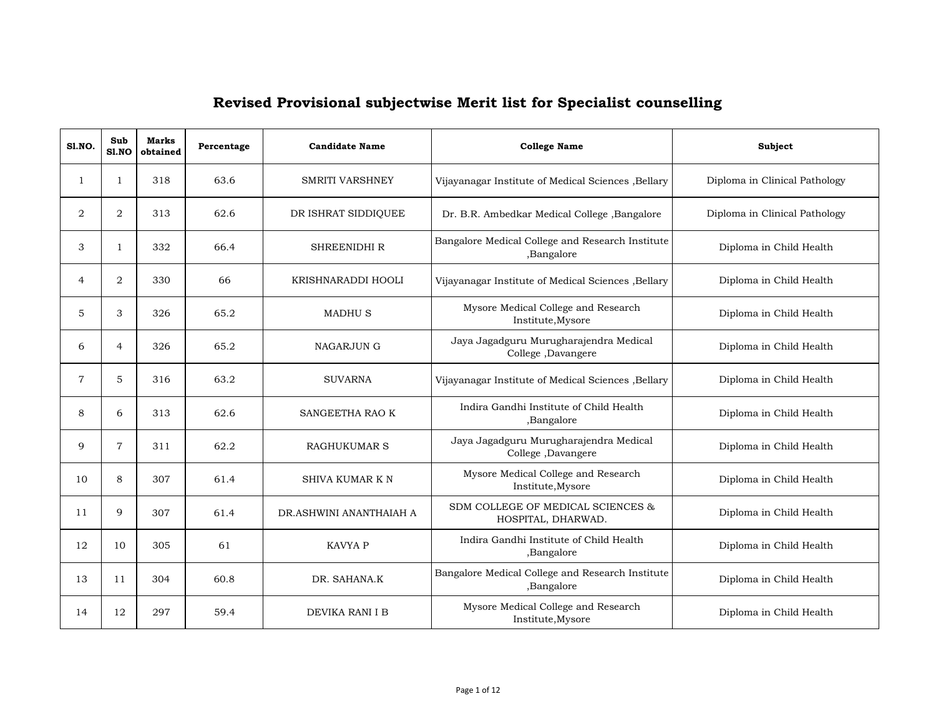| S1.NO.         | Sub<br>S1.NO   | <b>Marks</b><br>obtained | Percentage | <b>Candidate Name</b>   | <b>College Name</b>                                            | Subject                       |
|----------------|----------------|--------------------------|------------|-------------------------|----------------------------------------------------------------|-------------------------------|
| 1              | $\mathbf{1}$   | 318                      | 63.6       | <b>SMRITI VARSHNEY</b>  | Vijayanagar Institute of Medical Sciences , Bellary            | Diploma in Clinical Pathology |
| $\overline{2}$ | 2              | 313                      | 62.6       | DR ISHRAT SIDDIQUEE     | Dr. B.R. Ambedkar Medical College , Bangalore                  | Diploma in Clinical Pathology |
| 3              | $\mathbf{1}$   | 332                      | 66.4       | <b>SHREENIDHI R</b>     | Bangalore Medical College and Research Institute<br>,Bangalore | Diploma in Child Health       |
| 4              | 2              | 330                      | 66         | KRISHNARADDI HOOLI      | Vijayanagar Institute of Medical Sciences , Bellary            | Diploma in Child Health       |
| 5              | 3              | 326                      | 65.2       | <b>MADHUS</b>           | Mysore Medical College and Research<br>Institute, Mysore       | Diploma in Child Health       |
| 6              | $\overline{4}$ | 326                      | 65.2       | <b>NAGARJUN G</b>       | Jaya Jagadguru Murugharajendra Medical<br>College, Davangere   | Diploma in Child Health       |
| $\overline{7}$ | 5              | 316                      | 63.2       | <b>SUVARNA</b>          | Vijayanagar Institute of Medical Sciences , Bellary            | Diploma in Child Health       |
| 8              | 6              | 313                      | 62.6       | SANGEETHA RAO K         | Indira Gandhi Institute of Child Health<br>,Bangalore          | Diploma in Child Health       |
| 9              | $\overline{7}$ | 311                      | 62.2       | <b>RAGHUKUMAR S</b>     | Jaya Jagadguru Murugharajendra Medical<br>College, Davangere   | Diploma in Child Health       |
| 10             | 8              | 307                      | 61.4       | <b>SHIVA KUMAR K N</b>  | Mysore Medical College and Research<br>Institute, Mysore       | Diploma in Child Health       |
| 11             | 9              | 307                      | 61.4       | DR.ASHWINI ANANTHAIAH A | SDM COLLEGE OF MEDICAL SCIENCES &<br>HOSPITAL, DHARWAD.        | Diploma in Child Health       |
| 12             | 10             | 305                      | 61         | KAVYA P                 | Indira Gandhi Institute of Child Health<br>,Bangalore          | Diploma in Child Health       |
| 13             | 11             | 304                      | 60.8       | DR. SAHANA.K            | Bangalore Medical College and Research Institute<br>,Bangalore | Diploma in Child Health       |
| 14             | 12             | 297                      | 59.4       | DEVIKA RANI I B         | Mysore Medical College and Research<br>Institute, Mysore       | Diploma in Child Health       |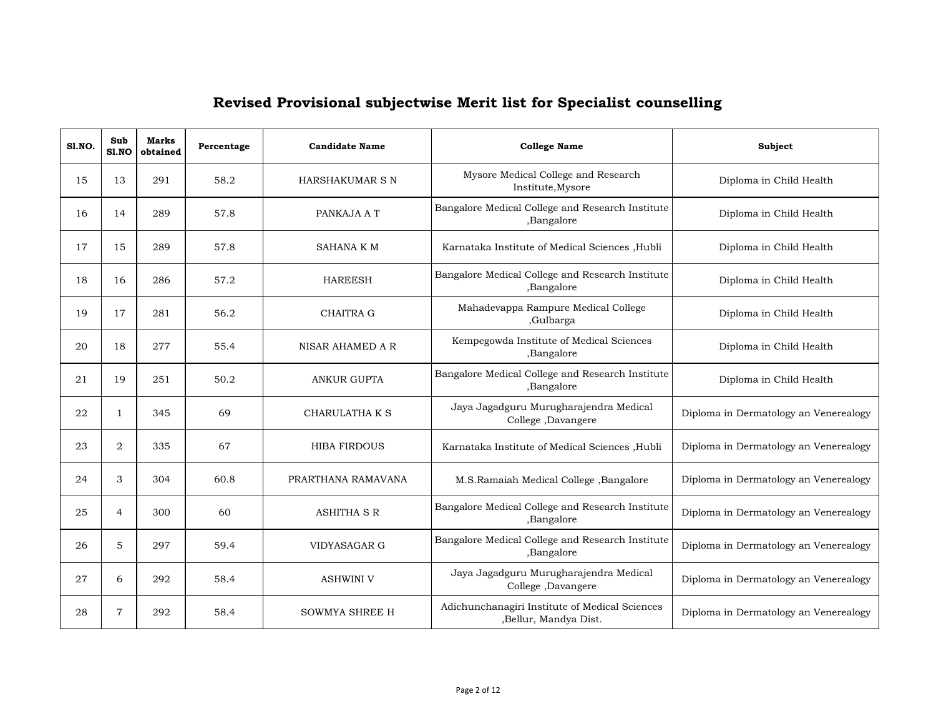| <b>S1.NO.</b> | Sub<br>Sl.NO   | <b>Marks</b><br>obtained | Percentage | <b>Candidate Name</b> | <b>College Name</b>                                                     | Subject                               |
|---------------|----------------|--------------------------|------------|-----------------------|-------------------------------------------------------------------------|---------------------------------------|
| 15            | 13             | 291                      | 58.2       | HARSHAKUMAR S N       | Mysore Medical College and Research<br>Institute, Mysore                | Diploma in Child Health               |
| 16            | 14             | 289                      | 57.8       | PANKAJA A T           | Bangalore Medical College and Research Institute<br>,Bangalore          | Diploma in Child Health               |
| 17            | 15             | 289                      | 57.8       | <b>SAHANA K M</b>     | Karnataka Institute of Medical Sciences , Hubli                         | Diploma in Child Health               |
| 18            | 16             | 286                      | 57.2       | <b>HAREESH</b>        | Bangalore Medical College and Research Institute<br>,Bangalore          | Diploma in Child Health               |
| 19            | 17             | 281                      | 56.2       | <b>CHAITRA G</b>      | Mahadevappa Rampure Medical College<br>,Gulbarga                        | Diploma in Child Health               |
| 20            | 18             | 277                      | 55.4       | NISAR AHAMED A R      | Kempegowda Institute of Medical Sciences<br>,Bangalore                  | Diploma in Child Health               |
| 21            | 19             | 251                      | 50.2       | <b>ANKUR GUPTA</b>    | Bangalore Medical College and Research Institute<br>,Bangalore          | Diploma in Child Health               |
| 22            | 1              | 345                      | 69         | CHARULATHA K S        | Jaya Jagadguru Murugharajendra Medical<br>College ,Davangere            | Diploma in Dermatology an Venerealogy |
| 23            | $\overline{2}$ | 335                      | 67         | <b>HIBA FIRDOUS</b>   | Karnataka Institute of Medical Sciences , Hubli                         | Diploma in Dermatology an Venerealogy |
| 24            | 3              | 304                      | 60.8       | PRARTHANA RAMAVANA    | M.S.Ramaiah Medical College, Bangalore                                  | Diploma in Dermatology an Venerealogy |
| 25            | $\overline{4}$ | 300                      | 60         | <b>ASHITHA S R</b>    | Bangalore Medical College and Research Institute<br>,Bangalore          | Diploma in Dermatology an Venerealogy |
| 26            | 5              | 297                      | 59.4       | VIDYASAGAR G          | Bangalore Medical College and Research Institute<br>,Bangalore          | Diploma in Dermatology an Venerealogy |
| 27            | 6              | 292                      | 58.4       | <b>ASHWINI V</b>      | Jaya Jagadguru Murugharajendra Medical<br>College, Davangere            | Diploma in Dermatology an Venerealogy |
| 28            | 7              | 292                      | 58.4       | <b>SOWMYA SHREE H</b> | Adichunchanagiri Institute of Medical Sciences<br>,Bellur, Mandya Dist. | Diploma in Dermatology an Venerealogy |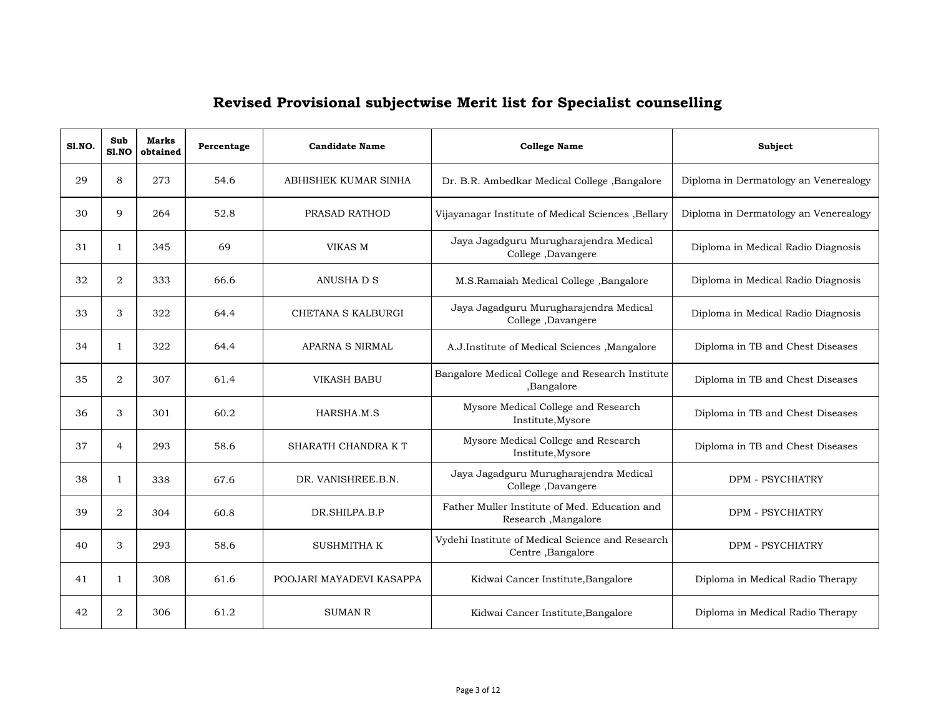| S1.NO. | Sub<br>S1.NO   | Marks<br>obtained | Percentage | <b>Candidate Name</b>    | <b>College Name</b>                                                   | Subject                               |
|--------|----------------|-------------------|------------|--------------------------|-----------------------------------------------------------------------|---------------------------------------|
| 29     | 8              | 273               | 54.6       | ABHISHEK KUMAR SINHA     | Dr. B.R. Ambedkar Medical College, Bangalore                          | Diploma in Dermatology an Venerealogy |
| 30     | 9              | 264               | 52.8       | PRASAD RATHOD            | Vijayanagar Institute of Medical Sciences , Bellary                   | Diploma in Dermatology an Venerealogy |
| 31     | $\mathbf{1}$   | 345               | 69         | VIKAS M                  | Jaya Jagadguru Murugharajendra Medical<br>College, Davangere          | Diploma in Medical Radio Diagnosis    |
| 32     | $\overline{2}$ | 333               | 66.6       | ANUSHA D S               | M.S.Ramaiah Medical College, Bangalore                                | Diploma in Medical Radio Diagnosis    |
| 33     | 3              | 322               | 64.4       | CHETANA S KALBURGI       | Jaya Jagadguru Murugharajendra Medical<br>College, Davangere          | Diploma in Medical Radio Diagnosis    |
| 34     | 1              | 322               | 64.4       | <b>APARNA S NIRMAL</b>   | A.J.Institute of Medical Sciences , Mangalore                         | Diploma in TB and Chest Diseases      |
| 35     | $\overline{2}$ | 307               | 61.4       | <b>VIKASH BABU</b>       | Bangalore Medical College and Research Institute<br>,Bangalore        | Diploma in TB and Chest Diseases      |
| 36     | 3              | 301               | 60.2       | HARSHA.M.S               | Mysore Medical College and Research<br>Institute, Mysore              | Diploma in TB and Chest Diseases      |
| 37     | $\overline{4}$ | 293               | 58.6       | SHARATH CHANDRA KT       | Mysore Medical College and Research<br>Institute, Mysore              | Diploma in TB and Chest Diseases      |
| 38     | 1              | 338               | 67.6       | DR. VANISHREE.B.N.       | Jaya Jagadguru Murugharajendra Medical<br>College, Davangere          | <b>DPM - PSYCHIATRY</b>               |
| 39     | $\overline{2}$ | 304               | 60.8       | DR.SHILPA.B.P            | Father Muller Institute of Med. Education and<br>Research, Mangalore  | <b>DPM - PSYCHIATRY</b>               |
| 40     | 3              | 293               | 58.6       | <b>SUSHMITHA K</b>       | Vydehi Institute of Medical Science and Research<br>Centre, Bangalore | <b>DPM - PSYCHIATRY</b>               |
| 41     | 1              | 308               | 61.6       | POOJARI MAYADEVI KASAPPA | Kidwai Cancer Institute, Bangalore                                    | Diploma in Medical Radio Therapy      |
| 42     | $\overline{2}$ | 306               | 61.2       | <b>SUMAN R</b>           | Kidwai Cancer Institute, Bangalore                                    | Diploma in Medical Radio Therapy      |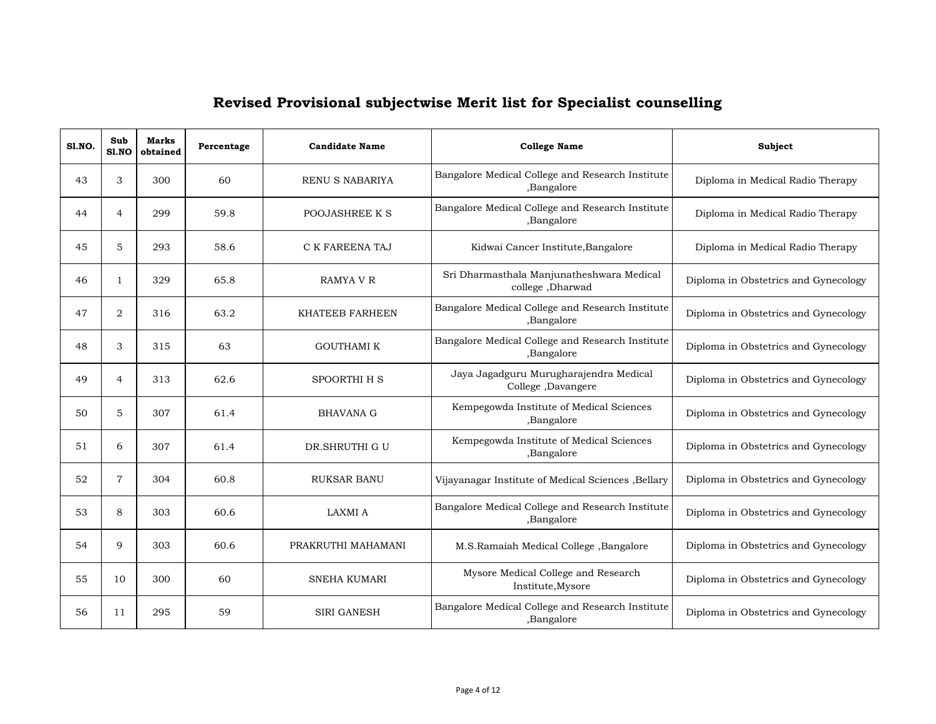| SI.NO. | Sub<br>S1.NO   | <b>Marks</b><br>obtained | Percentage | <b>Candidate Name</b>  | <b>College Name</b>                                            | Subject                              |
|--------|----------------|--------------------------|------------|------------------------|----------------------------------------------------------------|--------------------------------------|
| 43     | 3              | 300                      | 60         | RENU S NABARIYA        | Bangalore Medical College and Research Institute<br>,Bangalore | Diploma in Medical Radio Therapy     |
| 44     | $\overline{4}$ | 299                      | 59.8       | POOJASHREE K S         | Bangalore Medical College and Research Institute<br>,Bangalore | Diploma in Medical Radio Therapy     |
| 45     | 5              | 293                      | 58.6       | C K FAREENA TAJ        | Kidwai Cancer Institute, Bangalore                             | Diploma in Medical Radio Therapy     |
| 46     | 1              | 329                      | 65.8       | RAMYA V R              | Sri Dharmasthala Manjunatheshwara Medical<br>college, Dharwad  | Diploma in Obstetrics and Gynecology |
| 47     | 2              | 316                      | 63.2       | <b>KHATEEB FARHEEN</b> | Bangalore Medical College and Research Institute<br>,Bangalore | Diploma in Obstetrics and Gynecology |
| 48     | 3              | 315                      | 63         | <b>GOUTHAMI K</b>      | Bangalore Medical College and Research Institute<br>,Bangalore | Diploma in Obstetrics and Gynecology |
| 49     | $\overline{4}$ | 313                      | 62.6       | SPOORTHI H S           | Jaya Jagadguru Murugharajendra Medical<br>College, Davangere   | Diploma in Obstetrics and Gynecology |
| 50     | 5              | 307                      | 61.4       | <b>BHAVANA G</b>       | Kempegowda Institute of Medical Sciences<br>,Bangalore         | Diploma in Obstetrics and Gynecology |
| 51     | 6              | 307                      | 61.4       | DR.SHRUTHI G U         | Kempegowda Institute of Medical Sciences<br>,Bangalore         | Diploma in Obstetrics and Gynecology |
| 52     | $\overline{7}$ | 304                      | 60.8       | <b>RUKSAR BANU</b>     | Vijayanagar Institute of Medical Sciences , Bellary            | Diploma in Obstetrics and Gynecology |
| 53     | 8              | 303                      | 60.6       | <b>LAXMI A</b>         | Bangalore Medical College and Research Institute<br>,Bangalore | Diploma in Obstetrics and Gynecology |
| 54     | 9              | 303                      | 60.6       | PRAKRUTHI MAHAMANI     | M.S.Ramaiah Medical College, Bangalore                         | Diploma in Obstetrics and Gynecology |
| 55     | 10             | 300                      | 60         | <b>SNEHA KUMARI</b>    | Mysore Medical College and Research<br>Institute, Mysore       | Diploma in Obstetrics and Gynecology |
| 56     | 11             | 295                      | 59         | <b>SIRI GANESH</b>     | Bangalore Medical College and Research Institute<br>,Bangalore | Diploma in Obstetrics and Gynecology |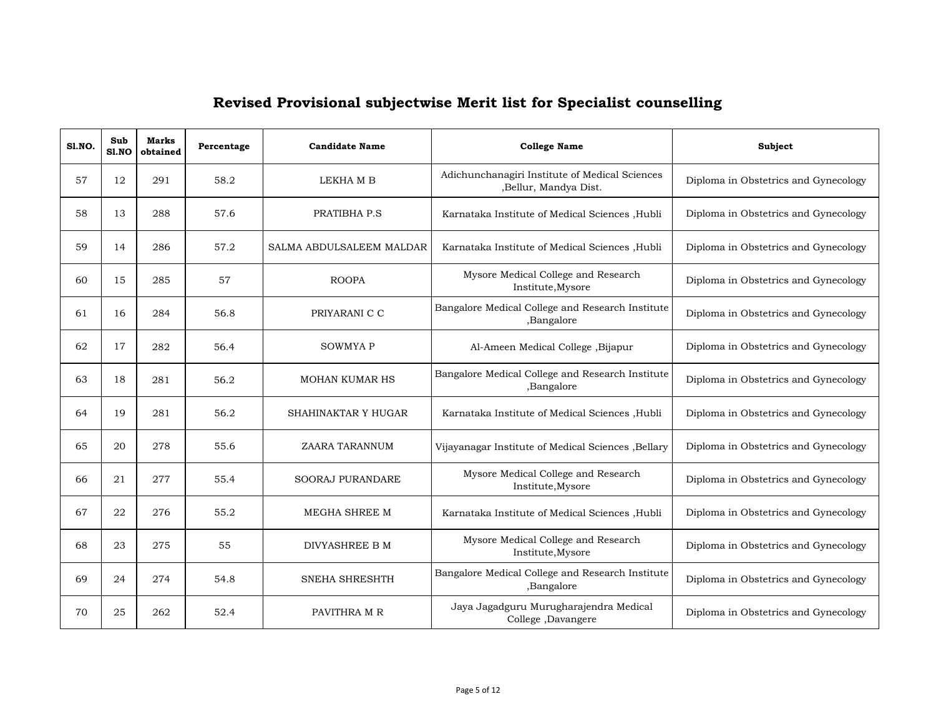| S1.NO. | Sub<br>S1.NO | <b>Marks</b><br>obtained | Percentage | <b>Candidate Name</b>    | <b>College Name</b>                                                     | Subject                              |
|--------|--------------|--------------------------|------------|--------------------------|-------------------------------------------------------------------------|--------------------------------------|
| 57     | 12           | 291                      | 58.2       | LEKHA M B                | Adichunchanagiri Institute of Medical Sciences<br>,Bellur, Mandya Dist. | Diploma in Obstetrics and Gynecology |
| 58     | 13           | 288                      | 57.6       | PRATIBHA P.S             | Karnataka Institute of Medical Sciences , Hubli                         | Diploma in Obstetrics and Gynecology |
| 59     | 14           | 286                      | 57.2       | SALMA ABDULSALEEM MALDAR | Karnataka Institute of Medical Sciences , Hubli                         | Diploma in Obstetrics and Gynecology |
| 60     | 15           | 285                      | 57         | <b>ROOPA</b>             | Mysore Medical College and Research<br>Institute, Mysore                | Diploma in Obstetrics and Gynecology |
| 61     | 16           | 284                      | 56.8       | PRIYARANI C C            | Bangalore Medical College and Research Institute<br>,Bangalore          | Diploma in Obstetrics and Gynecology |
| 62     | 17           | 282                      | 56.4       | <b>SOWMYAP</b>           | Al-Ameen Medical College , Bijapur                                      | Diploma in Obstetrics and Gynecology |
| 63     | 18           | 281                      | 56.2       | <b>MOHAN KUMAR HS</b>    | Bangalore Medical College and Research Institute<br>,Bangalore          | Diploma in Obstetrics and Gynecology |
| 64     | 19           | 281                      | 56.2       | SHAHINAKTAR Y HUGAR      | Karnataka Institute of Medical Sciences , Hubli                         | Diploma in Obstetrics and Gynecology |
| 65     | 20           | 278                      | 55.6       | ZAARA TARANNUM           | Vijayanagar Institute of Medical Sciences , Bellary                     | Diploma in Obstetrics and Gynecology |
| 66     | 21           | 277                      | 55.4       | <b>SOORAJ PURANDARE</b>  | Mysore Medical College and Research<br>Institute, Mysore                | Diploma in Obstetrics and Gynecology |
| 67     | 22           | 276                      | 55.2       | MEGHA SHREE M            | Karnataka Institute of Medical Sciences , Hubli                         | Diploma in Obstetrics and Gynecology |
| 68     | 23           | 275                      | 55         | DIVYASHREE B M           | Mysore Medical College and Research<br>Institute, Mysore                | Diploma in Obstetrics and Gynecology |
| 69     | 24           | 274                      | 54.8       | SNEHA SHRESHTH           | Bangalore Medical College and Research Institute<br>,Bangalore          | Diploma in Obstetrics and Gynecology |
| 70     | 25           | 262                      | 52.4       | PAVITHRA M R             | Jaya Jagadguru Murugharajendra Medical<br>College, Davangere            | Diploma in Obstetrics and Gynecology |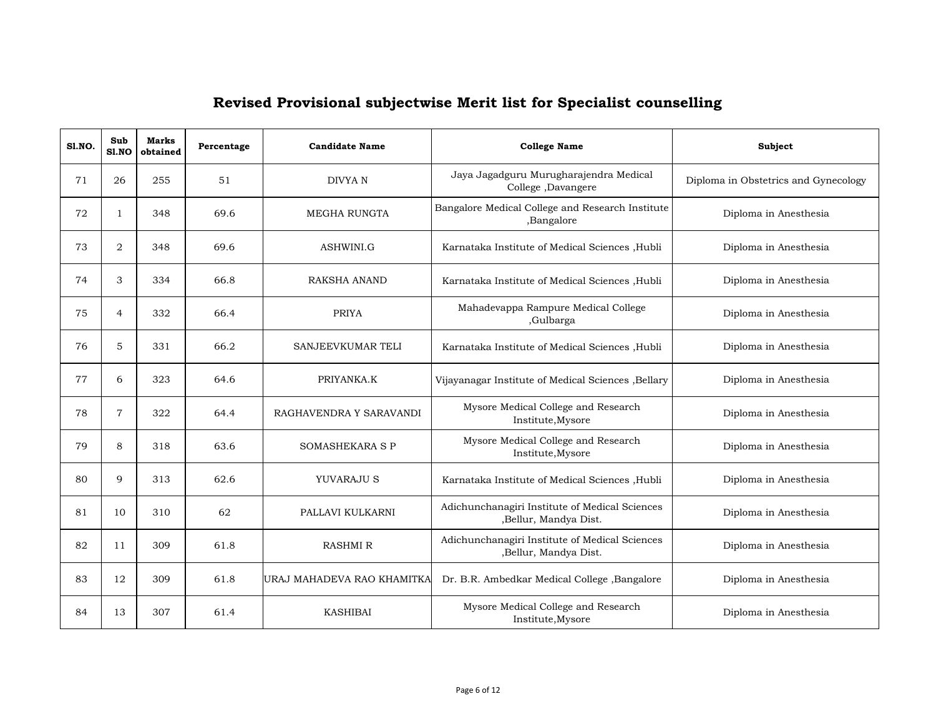| <b>S1.NO.</b> | Sub<br>S1.NO   | <b>Marks</b><br>obtained | Percentage | <b>Candidate Name</b>      | <b>College Name</b>                                                     | Subject                              |
|---------------|----------------|--------------------------|------------|----------------------------|-------------------------------------------------------------------------|--------------------------------------|
| 71            | 26             | 255                      | 51         | <b>DIVYAN</b>              | Jaya Jagadguru Murugharajendra Medical<br>College ,Davangere            | Diploma in Obstetrics and Gynecology |
| 72            | 1              | 348                      | 69.6       | MEGHA RUNGTA               | Bangalore Medical College and Research Institute<br>,Bangalore          | Diploma in Anesthesia                |
| 73            | $\overline{2}$ | 348                      | 69.6       | ASHWINI.G                  | Karnataka Institute of Medical Sciences , Hubli                         | Diploma in Anesthesia                |
| 74            | 3              | 334                      | 66.8       | <b>RAKSHA ANAND</b>        | Karnataka Institute of Medical Sciences , Hubli                         | Diploma in Anesthesia                |
| 75            | $\overline{4}$ | 332                      | 66.4       | <b>PRIYA</b>               | Mahadevappa Rampure Medical College<br>,Gulbarga                        | Diploma in Anesthesia                |
| 76            | 5              | 331                      | 66.2       | SANJEEVKUMAR TELI          | Karnataka Institute of Medical Sciences , Hubli                         | Diploma in Anesthesia                |
| 77            | 6              | 323                      | 64.6       | PRIYANKA.K                 | Vijayanagar Institute of Medical Sciences , Bellary                     | Diploma in Anesthesia                |
| 78            | $\overline{7}$ | 322                      | 64.4       | RAGHAVENDRA Y SARAVANDI    | Mysore Medical College and Research<br>Institute, Mysore                | Diploma in Anesthesia                |
| 79            | 8              | 318                      | 63.6       | SOMASHEKARA S P            | Mysore Medical College and Research<br>Institute, Mysore                | Diploma in Anesthesia                |
| 80            | 9              | 313                      | 62.6       | YUVARAJU S                 | Karnataka Institute of Medical Sciences , Hubli                         | Diploma in Anesthesia                |
| 81            | 10             | 310                      | 62         | PALLAVI KULKARNI           | Adichunchanagiri Institute of Medical Sciences<br>,Bellur, Mandya Dist. | Diploma in Anesthesia                |
| 82            | 11             | 309                      | 61.8       | <b>RASHMI R</b>            | Adichunchanagiri Institute of Medical Sciences<br>,Bellur, Mandya Dist. | Diploma in Anesthesia                |
| 83            | 12             | 309                      | 61.8       | URAJ MAHADEVA RAO KHAMITKA | Dr. B.R. Ambedkar Medical College , Bangalore                           | Diploma in Anesthesia                |
| 84            | 13             | 307                      | 61.4       | <b>KASHIBAI</b>            | Mysore Medical College and Research<br>Institute, Mysore                | Diploma in Anesthesia                |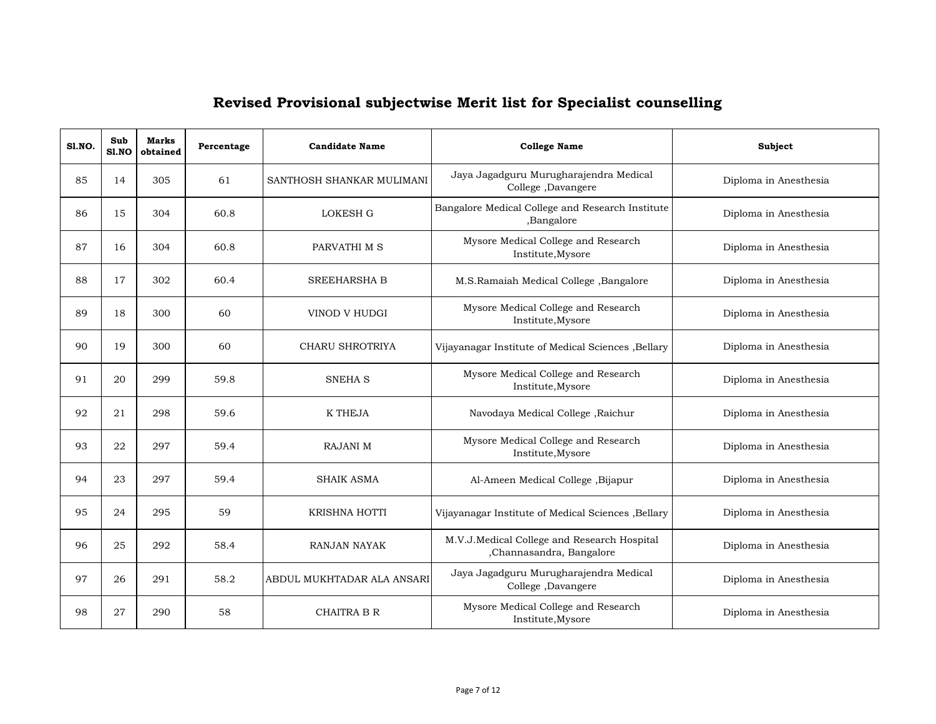| <b>S1.NO.</b> | Sub<br>S1.NO | <b>Marks</b><br>obtained | Percentage | <b>Candidate Name</b>      | <b>College Name</b>                                                     | Subject               |
|---------------|--------------|--------------------------|------------|----------------------------|-------------------------------------------------------------------------|-----------------------|
| 85            | 14           | 305                      | 61         | SANTHOSH SHANKAR MULIMANI  | Jaya Jagadguru Murugharajendra Medical<br>College, Davangere            | Diploma in Anesthesia |
| 86            | 15           | 304                      | 60.8       | <b>LOKESH G</b>            | Bangalore Medical College and Research Institute<br>,Bangalore          | Diploma in Anesthesia |
| 87            | 16           | 304                      | 60.8       | PARVATHI M S               | Mysore Medical College and Research<br>Institute, Mysore                | Diploma in Anesthesia |
| 88            | 17           | 302                      | 60.4       | <b>SREEHARSHA B</b>        | M.S.Ramaiah Medical College, Bangalore                                  | Diploma in Anesthesia |
| 89            | 18           | 300                      | 60         | VINOD V HUDGI              | Mysore Medical College and Research<br>Institute, Mysore                | Diploma in Anesthesia |
| 90            | 19           | 300                      | 60         | CHARU SHROTRIYA            | Vijayanagar Institute of Medical Sciences , Bellary                     | Diploma in Anesthesia |
| 91            | 20           | 299                      | 59.8       | <b>SNEHA S</b>             | Mysore Medical College and Research<br>Institute, Mysore                | Diploma in Anesthesia |
| 92            | 21           | 298                      | 59.6       | <b>K THEJA</b>             | Navodaya Medical College, Raichur                                       | Diploma in Anesthesia |
| 93            | 22           | 297                      | 59.4       | <b>RAJANI M</b>            | Mysore Medical College and Research<br>Institute, Mysore                | Diploma in Anesthesia |
| 94            | 23           | 297                      | 59.4       | <b>SHAIK ASMA</b>          | Al-Ameen Medical College , Bijapur                                      | Diploma in Anesthesia |
| 95            | 24           | 295                      | 59         | <b>KRISHNA HOTTI</b>       | Vijayanagar Institute of Medical Sciences , Bellary                     | Diploma in Anesthesia |
| 96            | 25           | 292                      | 58.4       | <b>RANJAN NAYAK</b>        | M.V.J.Medical College and Research Hospital<br>,Channasandra, Bangalore | Diploma in Anesthesia |
| 97            | 26           | 291                      | 58.2       | ABDUL MUKHTADAR ALA ANSARI | Jaya Jagadguru Murugharajendra Medical<br>College ,Davangere            | Diploma in Anesthesia |
| 98            | 27           | 290                      | 58         | <b>CHAITRA B R</b>         | Mysore Medical College and Research<br>Institute, Mysore                | Diploma in Anesthesia |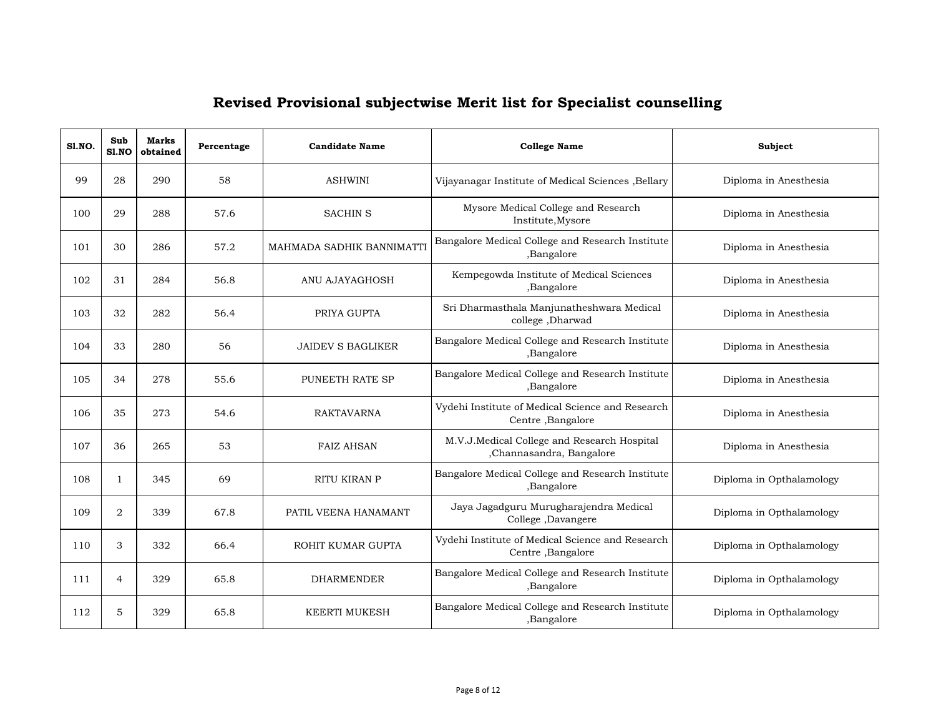| S1.NO. | Sub<br>S1.NO   | <b>Marks</b><br>obtained | Percentage | <b>Candidate Name</b>     | <b>College Name</b>                                                     | Subject                  |
|--------|----------------|--------------------------|------------|---------------------------|-------------------------------------------------------------------------|--------------------------|
| 99     | 28             | 290                      | 58         | <b>ASHWINI</b>            | Vijayanagar Institute of Medical Sciences , Bellary                     | Diploma in Anesthesia    |
| 100    | 29             | 288                      | 57.6       | <b>SACHIN S</b>           | Mysore Medical College and Research<br>Institute, Mysore                | Diploma in Anesthesia    |
| 101    | 30             | 286                      | 57.2       | MAHMADA SADHIK BANNIMATTI | Bangalore Medical College and Research Institute<br>,Bangalore          | Diploma in Anesthesia    |
| 102    | 31             | 284                      | 56.8       | ANU AJAYAGHOSH            | Kempegowda Institute of Medical Sciences<br>,Bangalore                  | Diploma in Anesthesia    |
| 103    | 32             | 282                      | 56.4       | PRIYA GUPTA               | Sri Dharmasthala Manjunatheshwara Medical<br>college, Dharwad           | Diploma in Anesthesia    |
| 104    | 33             | 280                      | 56         | <b>JAIDEV S BAGLIKER</b>  | Bangalore Medical College and Research Institute<br>,Bangalore          | Diploma in Anesthesia    |
| 105    | 34             | 278                      | 55.6       | PUNEETH RATE SP           | Bangalore Medical College and Research Institute<br>,Bangalore          | Diploma in Anesthesia    |
| 106    | 35             | 273                      | 54.6       | <b>RAKTAVARNA</b>         | Vydehi Institute of Medical Science and Research<br>Centre, Bangalore   | Diploma in Anesthesia    |
| 107    | 36             | 265                      | 53         | <b>FAIZ AHSAN</b>         | M.V.J.Medical College and Research Hospital<br>,Channasandra, Bangalore | Diploma in Anesthesia    |
| 108    | $\mathbf{1}$   | 345                      | 69         | RITU KIRAN P              | Bangalore Medical College and Research Institute<br>,Bangalore          | Diploma in Opthalamology |
| 109    | $\overline{2}$ | 339                      | 67.8       | PATIL VEENA HANAMANT      | Jaya Jagadguru Murugharajendra Medical<br>College, Davangere            | Diploma in Opthalamology |
| 110    | 3              | 332                      | 66.4       | ROHIT KUMAR GUPTA         | Vydehi Institute of Medical Science and Research<br>Centre, Bangalore   | Diploma in Opthalamology |
| 111    | $\overline{4}$ | 329                      | 65.8       | <b>DHARMENDER</b>         | Bangalore Medical College and Research Institute<br>,Bangalore          | Diploma in Opthalamology |
| 112    | 5              | 329                      | 65.8       | <b>KEERTI MUKESH</b>      | Bangalore Medical College and Research Institute<br>,Bangalore          | Diploma in Opthalamology |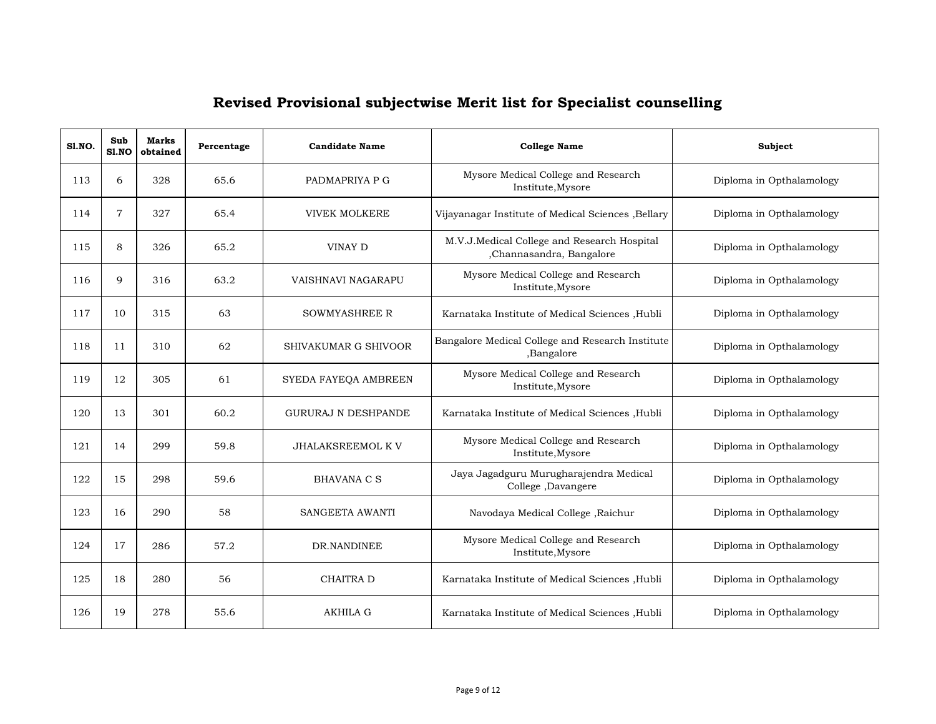| <b>S1.NO.</b> | Sub<br>S1.NO   | <b>Marks</b><br>obtained | Percentage | <b>Candidate Name</b>      | <b>College Name</b>                                                     | <b>Subject</b>           |
|---------------|----------------|--------------------------|------------|----------------------------|-------------------------------------------------------------------------|--------------------------|
| 113           | 6              | 328                      | 65.6       | PADMAPRIYA P G             | Mysore Medical College and Research<br>Institute, Mysore                | Diploma in Opthalamology |
| 114           | $\overline{7}$ | 327                      | 65.4       | <b>VIVEK MOLKERE</b>       | Vijayanagar Institute of Medical Sciences , Bellary                     | Diploma in Opthalamology |
| 115           | 8              | 326                      | 65.2       | VINAY D                    | M.V.J.Medical College and Research Hospital<br>,Channasandra, Bangalore | Diploma in Opthalamology |
| 116           | 9              | 316                      | 63.2       | VAISHNAVI NAGARAPU         | Mysore Medical College and Research<br>Institute, Mysore                | Diploma in Opthalamology |
| 117           | 10             | 315                      | 63         | <b>SOWMYASHREE R</b>       | Karnataka Institute of Medical Sciences , Hubli                         | Diploma in Opthalamology |
| 118           | 11             | 310                      | 62         | SHIVAKUMAR G SHIVOOR       | Bangalore Medical College and Research Institute<br>,Bangalore          | Diploma in Opthalamology |
| 119           | 12             | 305                      | 61         | SYEDA FAYEQA AMBREEN       | Mysore Medical College and Research<br>Institute, Mysore                | Diploma in Opthalamology |
| 120           | 13             | 301                      | 60.2       | <b>GURURAJ N DESHPANDE</b> | Karnataka Institute of Medical Sciences , Hubli                         | Diploma in Opthalamology |
| 121           | 14             | 299                      | 59.8       | <b>JHALAKSREEMOL K V</b>   | Mysore Medical College and Research<br>Institute, Mysore                | Diploma in Opthalamology |
| 122           | 15             | 298                      | 59.6       | <b>BHAVANA C S</b>         | Jaya Jagadguru Murugharajendra Medical<br>College, Davangere            | Diploma in Opthalamology |
| 123           | 16             | 290                      | 58         | SANGEETA AWANTI            | Navodaya Medical College, Raichur                                       | Diploma in Opthalamology |
| 124           | 17             | 286                      | 57.2       | DR.NANDINEE                | Mysore Medical College and Research<br>Institute, Mysore                | Diploma in Opthalamology |
| 125           | 18             | 280                      | 56         | CHAITRA D                  | Karnataka Institute of Medical Sciences , Hubli                         | Diploma in Opthalamology |
| 126           | 19             | 278                      | 55.6       | <b>AKHILA G</b>            | Karnataka Institute of Medical Sciences , Hubli                         | Diploma in Opthalamology |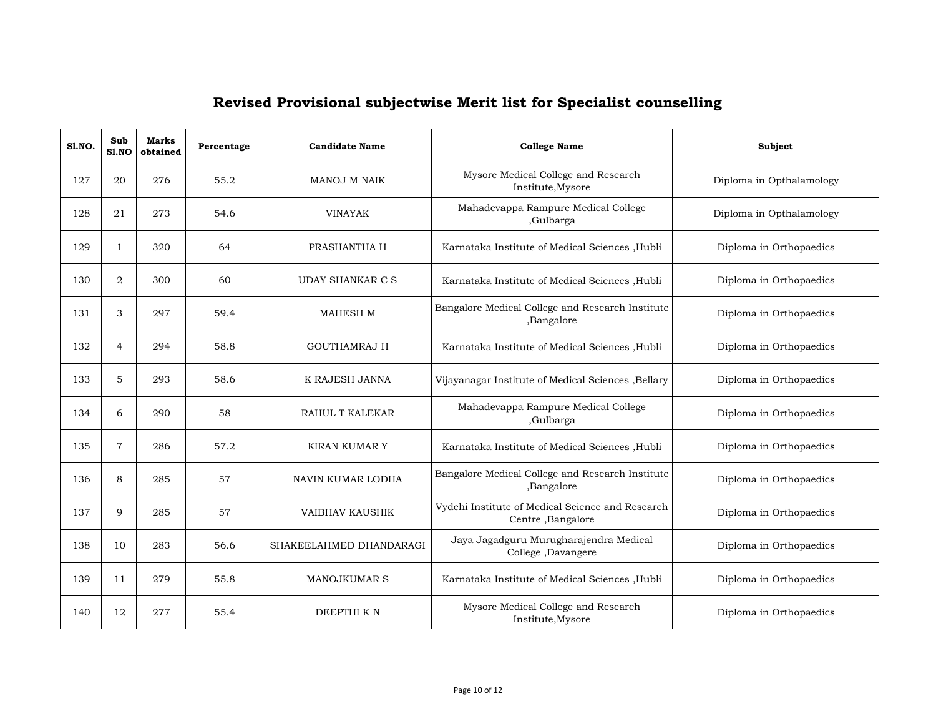| <b>S1.NO.</b> | Sub<br>S1.NO   | Marks<br>obtained | Percentage | <b>Candidate Name</b>   | <b>College Name</b>                                                   | Subject                  |
|---------------|----------------|-------------------|------------|-------------------------|-----------------------------------------------------------------------|--------------------------|
| 127           | 20             | 276               | 55.2       | MANOJ M NAIK            | Mysore Medical College and Research<br>Institute, Mysore              | Diploma in Opthalamology |
| 128           | 21             | 273               | 54.6       | <b>VINAYAK</b>          | Mahadevappa Rampure Medical College<br>,Gulbarga                      | Diploma in Opthalamology |
| 129           | $\mathbf{1}$   | 320               | 64         | PRASHANTHA H            | Karnataka Institute of Medical Sciences , Hubli                       | Diploma in Orthopaedics  |
| 130           | $\overline{2}$ | 300               | 60         | UDAY SHANKAR C S        | Karnataka Institute of Medical Sciences , Hubli                       | Diploma in Orthopaedics  |
| 131           | 3              | 297               | 59.4       | <b>MAHESH M</b>         | Bangalore Medical College and Research Institute<br>,Bangalore        | Diploma in Orthopaedics  |
| 132           | 4              | 294               | 58.8       | <b>GOUTHAMRAJ H</b>     | Karnataka Institute of Medical Sciences , Hubli                       | Diploma in Orthopaedics  |
| 133           | 5              | 293               | 58.6       | K RAJESH JANNA          | Vijayanagar Institute of Medical Sciences , Bellary                   | Diploma in Orthopaedics  |
| 134           | 6              | 290               | 58         | RAHUL T KALEKAR         | Mahadevappa Rampure Medical College<br>,Gulbarga                      | Diploma in Orthopaedics  |
| 135           | 7              | 286               | 57.2       | <b>KIRAN KUMAR Y</b>    | Karnataka Institute of Medical Sciences , Hubli                       | Diploma in Orthopaedics  |
| 136           | 8              | 285               | 57         | NAVIN KUMAR LODHA       | Bangalore Medical College and Research Institute<br>,Bangalore        | Diploma in Orthopaedics  |
| 137           | 9              | 285               | 57         | <b>VAIBHAV KAUSHIK</b>  | Vydehi Institute of Medical Science and Research<br>Centre, Bangalore | Diploma in Orthopaedics  |
| 138           | 10             | 283               | 56.6       | SHAKEELAHMED DHANDARAGI | Jaya Jagadguru Murugharajendra Medical<br>College, Davangere          | Diploma in Orthopaedics  |
| 139           | 11             | 279               | 55.8       | <b>MANOJKUMAR S</b>     | Karnataka Institute of Medical Sciences , Hubli                       | Diploma in Orthopaedics  |
| 140           | 12             | 277               | 55.4       | DEEPTHI KN              | Mysore Medical College and Research<br>Institute, Mysore              | Diploma in Orthopaedics  |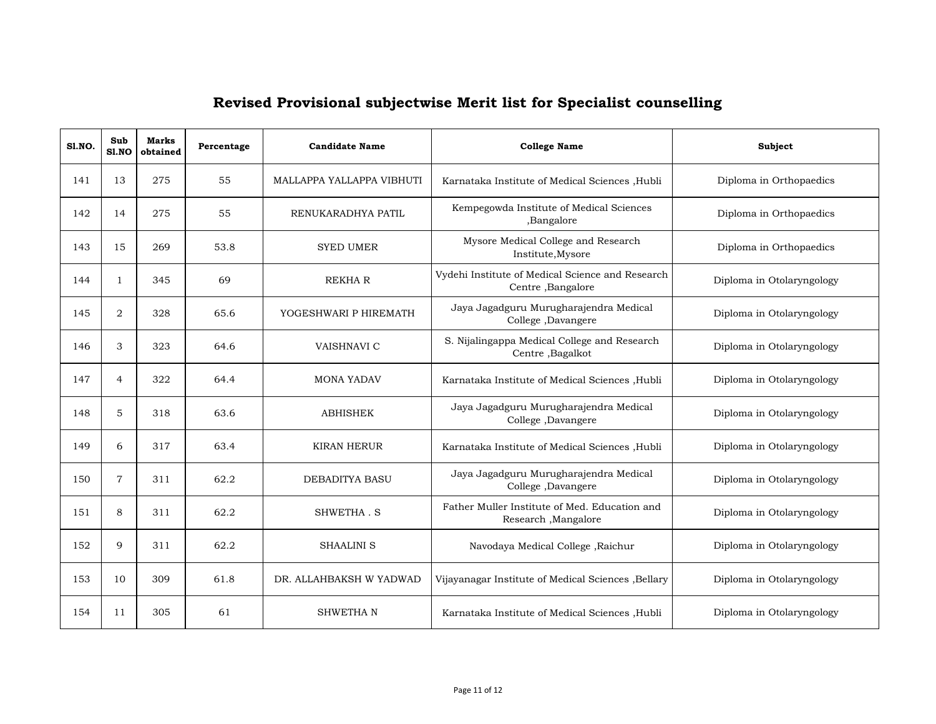| <b>S1.NO.</b> | Sub<br><b>S1.NO</b> | <b>Marks</b><br>obtained | Percentage | <b>Candidate Name</b>     | <b>College Name</b>                                                   | Subject                   |
|---------------|---------------------|--------------------------|------------|---------------------------|-----------------------------------------------------------------------|---------------------------|
| 141           | 13                  | 275                      | 55         | MALLAPPA YALLAPPA VIBHUTI | Karnataka Institute of Medical Sciences , Hubli                       | Diploma in Orthopaedics   |
| 142           | 14                  | 275                      | 55         | RENUKARADHYA PATIL        | Kempegowda Institute of Medical Sciences<br>,Bangalore                | Diploma in Orthopaedics   |
| 143           | 15                  | 269                      | 53.8       | <b>SYED UMER</b>          | Mysore Medical College and Research<br>Institute, Mysore              | Diploma in Orthopaedics   |
| 144           | $\mathbf{1}$        | 345                      | 69         | <b>REKHAR</b>             | Vydehi Institute of Medical Science and Research<br>Centre, Bangalore | Diploma in Otolaryngology |
| 145           | $\overline{2}$      | 328                      | 65.6       | YOGESHWARI P HIREMATH     | Jaya Jagadguru Murugharajendra Medical<br>College, Davangere          | Diploma in Otolaryngology |
| 146           | 3                   | 323                      | 64.6       | VAISHNAVI C               | S. Nijalingappa Medical College and Research<br>Centre, Bagalkot      | Diploma in Otolaryngology |
| 147           | $\overline{4}$      | 322                      | 64.4       | <b>MONA YADAV</b>         | Karnataka Institute of Medical Sciences , Hubli                       | Diploma in Otolaryngology |
| 148           | 5                   | 318                      | 63.6       | <b>ABHISHEK</b>           | Jaya Jagadguru Murugharajendra Medical<br>College, Davangere          | Diploma in Otolaryngology |
| 149           | 6                   | 317                      | 63.4       | <b>KIRAN HERUR</b>        | Karnataka Institute of Medical Sciences , Hubli                       | Diploma in Otolaryngology |
| 150           | $\overline{7}$      | 311                      | 62.2       | <b>DEBADITYA BASU</b>     | Jaya Jagadguru Murugharajendra Medical<br>College, Davangere          | Diploma in Otolaryngology |
| 151           | 8                   | 311                      | 62.2       | SHWETHA.S                 | Father Muller Institute of Med. Education and<br>Research, Mangalore  | Diploma in Otolaryngology |
| 152           | 9                   | 311                      | 62.2       | <b>SHAALINI S</b>         | Navodaya Medical College, Raichur                                     | Diploma in Otolaryngology |
| 153           | 10                  | 309                      | 61.8       | DR. ALLAHBAKSH W YADWAD   | Vijayanagar Institute of Medical Sciences , Bellary                   | Diploma in Otolaryngology |
| 154           | 11                  | 305                      | 61         | <b>SHWETHAN</b>           | Karnataka Institute of Medical Sciences , Hubli                       | Diploma in Otolaryngology |